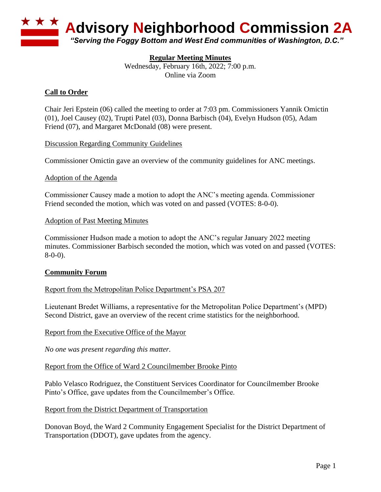

# **Regular Meeting Minutes**

Wednesday, February 16th, 2022; 7:00 p.m. Online via Zoom

# **Call to Order**

Chair Jeri Epstein (06) called the meeting to order at 7:03 pm. Commissioners Yannik Omictin (01), Joel Causey (02), Trupti Patel (03), Donna Barbisch (04), Evelyn Hudson (05), Adam Friend (07), and Margaret McDonald (08) were present.

#### Discussion Regarding Community Guidelines

Commissioner Omictin gave an overview of the community guidelines for ANC meetings.

#### Adoption of the Agenda

Commissioner Causey made a motion to adopt the ANC's meeting agenda. Commissioner Friend seconded the motion, which was voted on and passed (VOTES: 8-0-0).

#### Adoption of Past Meeting Minutes

Commissioner Hudson made a motion to adopt the ANC's regular January 2022 meeting minutes. Commissioner Barbisch seconded the motion, which was voted on and passed (VOTES: 8-0-0).

### **Community Forum**

### Report from the Metropolitan Police Department's PSA 207

Lieutenant Bredet Williams, a representative for the Metropolitan Police Department's (MPD) Second District, gave an overview of the recent crime statistics for the neighborhood.

Report from the Executive Office of the Mayor

*No one was present regarding this matter.*

Report from the Office of Ward 2 Councilmember Brooke Pinto

Pablo Velasco Rodriguez, the Constituent Services Coordinator for Councilmember Brooke Pinto's Office, gave updates from the Councilmember's Office.

Report from the District Department of Transportation

Donovan Boyd, the Ward 2 Community Engagement Specialist for the District Department of Transportation (DDOT), gave updates from the agency.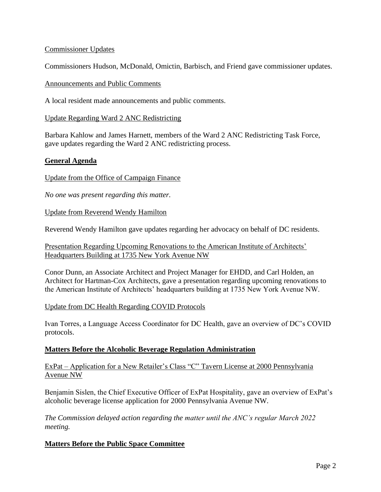## Commissioner Updates

Commissioners Hudson, McDonald, Omictin, Barbisch, and Friend gave commissioner updates.

#### Announcements and Public Comments

A local resident made announcements and public comments.

### Update Regarding Ward 2 ANC Redistricting

Barbara Kahlow and James Harnett, members of the Ward 2 ANC Redistricting Task Force, gave updates regarding the Ward 2 ANC redistricting process.

### **General Agenda**

### Update from the Office of Campaign Finance

*No one was present regarding this matter.*

Update from Reverend Wendy Hamilton

Reverend Wendy Hamilton gave updates regarding her advocacy on behalf of DC residents.

Presentation Regarding Upcoming Renovations to the American Institute of Architects' Headquarters Building at 1735 New York Avenue NW

Conor Dunn, an Associate Architect and Project Manager for EHDD, and Carl Holden, an Architect for Hartman-Cox Architects, gave a presentation regarding upcoming renovations to the American Institute of Architects' headquarters building at 1735 New York Avenue NW.

### Update from DC Health Regarding COVID Protocols

Ivan Torres, a Language Access Coordinator for DC Health, gave an overview of DC's COVID protocols.

### **Matters Before the Alcoholic Beverage Regulation Administration**

ExPat – Application for a New Retailer's Class "C" Tavern License at 2000 Pennsylvania Avenue NW

Benjamin Sislen, the Chief Executive Officer of ExPat Hospitality, gave an overview of ExPat's alcoholic beverage license application for 2000 Pennsylvania Avenue NW.

*The Commission delayed action regarding the matter until the ANC's regular March 2022 meeting.*

### **Matters Before the Public Space Committee**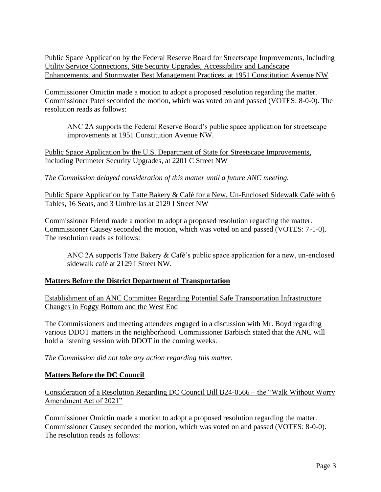Public Space Application by the Federal Reserve Board for Streetscape Improvements, Including Utility Service Connections, Site Security Upgrades, Accessibility and Landscape Enhancements, and Stormwater Best Management Practices, at 1951 Constitution Avenue NW

Commissioner Omictin made a motion to adopt a proposed resolution regarding the matter. Commissioner Patel seconded the motion, which was voted on and passed (VOTES: 8-0-0). The resolution reads as follows:

ANC 2A supports the Federal Reserve Board's public space application for streetscape improvements at 1951 Constitution Avenue NW.

Public Space Application by the U.S. Department of State for Streetscape Improvements, Including Perimeter Security Upgrades, at 2201 C Street NW

*The Commission delayed consideration of this matter until a future ANC meeting.*

Public Space Application by Tatte Bakery & Café for a New, Un-Enclosed Sidewalk Café with 6 Tables, 16 Seats, and 3 Umbrellas at 2129 I Street NW

Commissioner Friend made a motion to adopt a proposed resolution regarding the matter. Commissioner Causey seconded the motion, which was voted on and passed (VOTES: 7-1-0). The resolution reads as follows:

ANC 2A supports Tatte Bakery & Café's public space application for a new, un-enclosed sidewalk café at 2129 I Street NW.

### **Matters Before the District Department of Transportation**

Establishment of an ANC Committee Regarding Potential Safe Transportation Infrastructure Changes in Foggy Bottom and the West End

The Commissioners and meeting attendees engaged in a discussion with Mr. Boyd regarding various DDOT matters in the neighborhood. Commissioner Barbisch stated that the ANC will hold a listening session with DDOT in the coming weeks.

*The Commission did not take any action regarding this matter.*

### **Matters Before the DC Council**

Consideration of a Resolution Regarding DC Council Bill B24-0566 – the "Walk Without Worry Amendment Act of 2021"

Commissioner Omictin made a motion to adopt a proposed resolution regarding the matter. Commissioner Causey seconded the motion, which was voted on and passed (VOTES: 8-0-0). The resolution reads as follows: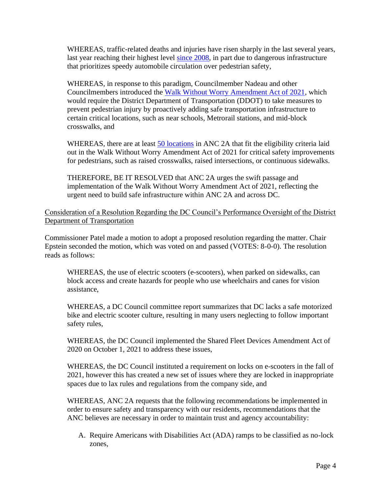WHEREAS, traffic-related deaths and injuries have risen sharply in the last several years, last year reaching their highest level [since 2008,](https://www.washingtonpost.com/transportation/2021/09/23/vision-zero-dc-traffic-deaths/) in part due to dangerous infrastructure that prioritizes speedy automobile circulation over pedestrian safety,

WHEREAS, in response to this paradigm, Councilmember Nadeau and other Councilmembers introduced the [Walk Without Worry Amendment Act of 2021,](https://lims.dccouncil.us/Legislation/B24-0566) which would require the District Department of Transportation (DDOT) to take measures to prevent pedestrian injury by proactively adding safe transportation infrastructure to certain critical locations, such as near schools, Metrorail stations, and mid-block crosswalks, and

WHEREAS, there are at least [50 locations](https://www.google.com/maps/d/u/0/edit?mid=1f-r-lPVVeGLID2r82Mm2fUtJemJXsP4z&usp=sharing) in ANC 2A that fit the eligibility criteria laid out in the Walk Without Worry Amendment Act of 2021 for critical safety improvements for pedestrians, such as raised crosswalks, raised intersections, or continuous sidewalks.

THEREFORE, BE IT RESOLVED that ANC 2A urges the swift passage and implementation of the Walk Without Worry Amendment Act of 2021, reflecting the urgent need to build safe infrastructure within ANC 2A and across DC.

Consideration of a Resolution Regarding the DC Council's Performance Oversight of the District Department of Transportation

Commissioner Patel made a motion to adopt a proposed resolution regarding the matter. Chair Epstein seconded the motion, which was voted on and passed (VOTES: 8-0-0). The resolution reads as follows:

WHEREAS, the use of electric scooters (e-scooters), when parked on sidewalks, can block access and create hazards for people who use wheelchairs and canes for vision assistance,

WHEREAS, a DC Council committee report summarizes that DC lacks a safe motorized bike and electric scooter culture, resulting in many users neglecting to follow important safety rules,

WHEREAS, the DC Council implemented the Shared Fleet Devices Amendment Act of 2020 on October 1, 2021 to address these issues,

WHEREAS, the DC Council instituted a requirement on locks on e-scooters in the fall of 2021, however this has created a new set of issues where they are locked in inappropriate spaces due to lax rules and regulations from the company side, and

WHEREAS, ANC 2A requests that the following recommendations be implemented in order to ensure safety and transparency with our residents, recommendations that the ANC believes are necessary in order to maintain trust and agency accountability:

A. Require Americans with Disabilities Act (ADA) ramps to be classified as no-lock zones,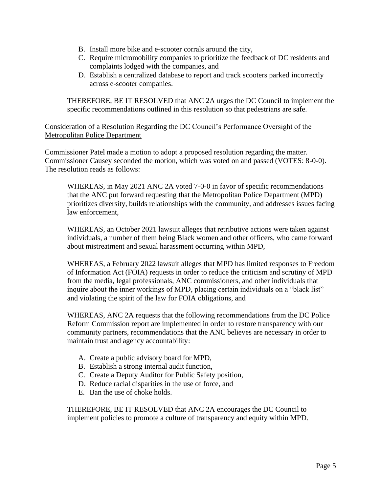- B. Install more bike and e-scooter corrals around the city,
- C. Require micromobility companies to prioritize the feedback of DC residents and complaints lodged with the companies, and
- D. Establish a centralized database to report and track scooters parked incorrectly across e-scooter companies.

THEREFORE, BE IT RESOLVED that ANC 2A urges the DC Council to implement the specific recommendations outlined in this resolution so that pedestrians are safe.

# Consideration of a Resolution Regarding the DC Council's Performance Oversight of the Metropolitan Police Department

Commissioner Patel made a motion to adopt a proposed resolution regarding the matter. Commissioner Causey seconded the motion, which was voted on and passed (VOTES: 8-0-0). The resolution reads as follows:

WHEREAS, in May 2021 ANC 2A voted 7-0-0 in favor of specific recommendations that the ANC put forward requesting that the Metropolitan Police Department (MPD) prioritizes diversity, builds relationships with the community, and addresses issues facing law enforcement,

WHEREAS, an October 2021 lawsuit alleges that retributive actions were taken against individuals, a number of them being Black women and other officers, who came forward about mistreatment and sexual harassment occurring within MPD,

WHEREAS, a February 2022 lawsuit alleges that MPD has limited responses to Freedom of Information Act (FOIA) requests in order to reduce the criticism and scrutiny of MPD from the media, legal professionals, ANC commissioners, and other individuals that inquire about the inner workings of MPD, placing certain individuals on a "black list" and violating the spirit of the law for FOIA obligations, and

WHEREAS, ANC 2A requests that the following recommendations from the DC Police Reform Commission report are implemented in order to restore transparency with our community partners, recommendations that the ANC believes are necessary in order to maintain trust and agency accountability:

- A. Create a public advisory board for MPD,
- B. Establish a strong internal audit function,
- C. Create a Deputy Auditor for Public Safety position,
- D. Reduce racial disparities in the use of force, and
- E. Ban the use of choke holds.

THEREFORE, BE IT RESOLVED that ANC 2A encourages the DC Council to implement policies to promote a culture of transparency and equity within MPD.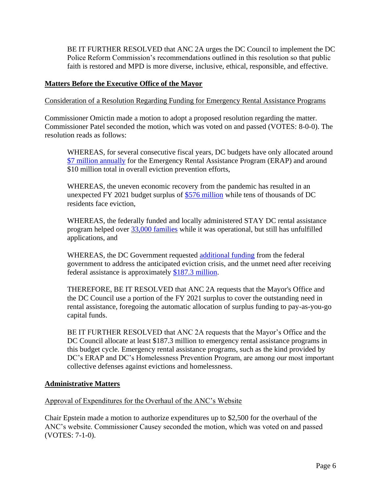BE IT FURTHER RESOLVED that ANC 2A urges the DC Council to implement the DC Police Reform Commission's recommendations outlined in this resolution so that public faith is restored and MPD is more diverse, inclusive, ethical, responsible, and effective.

## **Matters Before the Executive Office of the Mayor**

Consideration of a Resolution Regarding Funding for Emergency Rental Assistance Programs

Commissioner Omictin made a motion to adopt a proposed resolution regarding the matter. Commissioner Patel seconded the motion, which was voted on and passed (VOTES: 8-0-0). The resolution reads as follows:

WHEREAS, for several consecutive fiscal years, DC budgets have only allocated aroun[d](https://www.streetsensemedia.org/article/no-significant-funding-added-to-emergency-rental-assistance-program-despite-ongoing-effects-of-covid-19/#.Ygw5gurMI2w) [\\$7 million annually](https://www.streetsensemedia.org/article/no-significant-funding-added-to-emergency-rental-assistance-program-despite-ongoing-effects-of-covid-19/#.Ygw5gurMI2w) for the Emergency Rental Assistance Program (ERAP) and around \$10 million total in overall eviction prevention efforts,

WHEREAS, the uneven economic recovery from the pandemic has resulted in an unexpected FY 2021 budget surplus of [\\$576 million](https://twitter.com/maustermuhle/status/1476930913355407369/photo/1) while tens of thousands of DC residents face eviction,

WHEREAS, the federally funded and locally administered STAY DC rental assistance program helped over [33,000 families](https://www.brianneknadeau.com/updates/update/february-4-dhs-report-stay-dc-and-covid-19-committee-human-services) while it was operational, but still has unfulfilled applications, and

WHEREAS, the DC Government requested [additional funding](https://www.axios.com/local/washington-dc/2022/02/07/dc-housing-advocates-rental-assistance) from the federal government to address the anticipated eviction crisis, and the unmet need after receiving federal assistance is approximately [\\$187.3 million.](https://www.dcfpi.org/all/letter-to-mayor-bowser-use-growing-revenues-address-the-eviction-crisis/#_edn3)

THEREFORE, BE IT RESOLVED that ANC 2A requests that the Mayor's Office and the DC Council use a portion of the FY 2021 surplus to cover the outstanding need in rental assistance, foregoing the automatic allocation of surplus funding to pay-as-you-go capital funds.

BE IT FURTHER RESOLVED that ANC 2A requests that the Mayor's Office and the DC Council allocate at least \$187.3 million to emergency rental assistance programs in this budget cycle. Emergency rental assistance programs, such as the kind provided by DC's ERAP and DC's Homelessness Prevention Program, are among our most important collective defenses against evictions and homelessness.

### **Administrative Matters**

Approval of Expenditures for the Overhaul of the ANC's Website

Chair Epstein made a motion to authorize expenditures up to \$2,500 for the overhaul of the ANC's website. Commissioner Causey seconded the motion, which was voted on and passed (VOTES: 7-1-0).